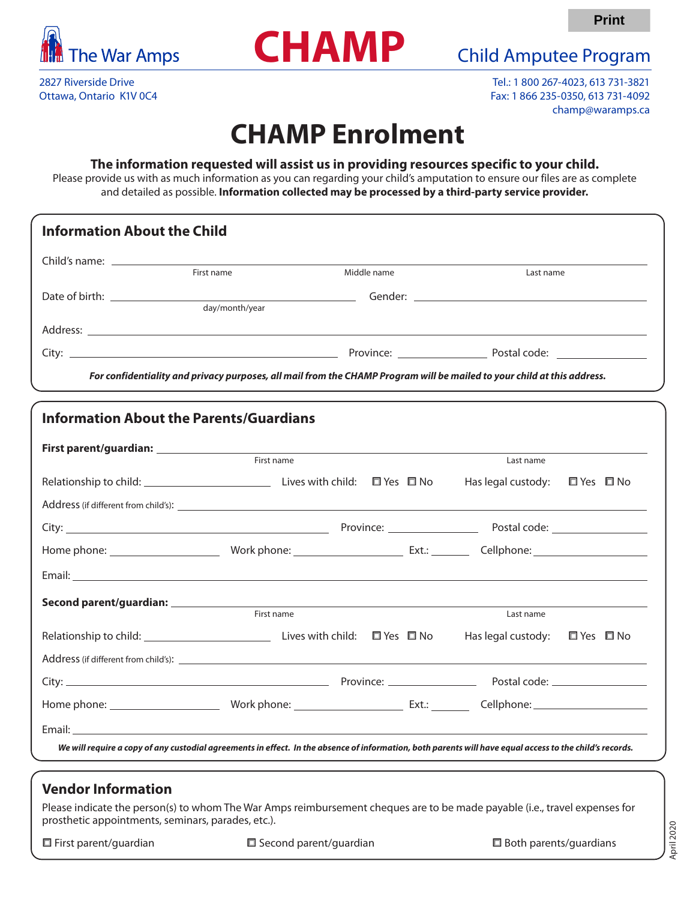



2827 Riverside Drive Ottawa, Ontario K1V 0C4

Tel.: 1 800 267-4023, 613 731-3821 Fax: 1 866 235-0350, 613 731-4092 champ@waramps.ca

**Print**

## **CHAMP Enrolment**

## **The information requested will assist us in providing resources specific to your child.**

Please provide us with as much information as you can regarding your child's amputation to ensure our files are as complete and detailed as possible. **Information collected may be processed by a third-party service provider.**

| First name     | Middle name | Last name |
|----------------|-------------|-----------|
| day/month/year |             |           |
|                |             |           |
|                |             |           |

| First name                                                                                                                                               |  | Last name                               |            |  |
|----------------------------------------------------------------------------------------------------------------------------------------------------------|--|-----------------------------------------|------------|--|
|                                                                                                                                                          |  | Has legal custody: $\Box$ Yes $\Box$ No |            |  |
|                                                                                                                                                          |  |                                         |            |  |
|                                                                                                                                                          |  |                                         |            |  |
|                                                                                                                                                          |  |                                         |            |  |
|                                                                                                                                                          |  |                                         |            |  |
| First name                                                                                                                                               |  | Last name                               |            |  |
|                                                                                                                                                          |  | Has legal custody:                      | □ Yes □ No |  |
|                                                                                                                                                          |  |                                         |            |  |
|                                                                                                                                                          |  |                                         |            |  |
|                                                                                                                                                          |  |                                         |            |  |
|                                                                                                                                                          |  |                                         |            |  |
| We will require a copy of any custodial agreements in effect. In the absence of information, both parents will have equal access to the child's records. |  |                                         |            |  |

## **Vendor Information**

Please indicate the person(s) to whom The War Amps reimbursement cheques are to be made payable (i.e., travel expenses for prosthetic appointments, seminars, parades, etc.).